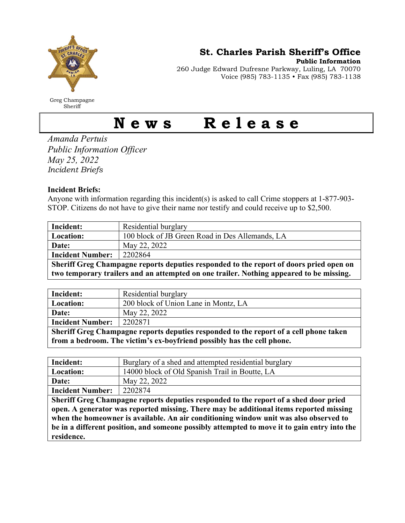

Greg Champagne **Sheriff** 

St. Charles Parish Sheriff's Office

Public Information

260 Judge Edward Dufresne Parkway, Luling, LA 70070 Voice (985) 783-1135 • Fax (985) 783-1138

## News Release

Amanda Pertuis Public Information Officer May 25, 2022 Incident Briefs

## Incident Briefs:

Anyone with information regarding this incident(s) is asked to call Crime stoppers at 1-877-903- STOP. Citizens do not have to give their name nor testify and could receive up to \$2,500.

| Incident:                                                                               | Residential burglary                            |
|-----------------------------------------------------------------------------------------|-------------------------------------------------|
| Location:                                                                               | 100 block of JB Green Road in Des Allemands, LA |
| Date:                                                                                   | May 22, 2022                                    |
| <b>Incident Number:</b>                                                                 | 2202864                                         |
| Sheriff Greg Champagne reports deputies responded to the report of doors pried open on  |                                                 |
| two temporary trailers and an attempted on one trailer. Nothing appeared to be missing. |                                                 |

| Incident:                                                                             | Residential burglary                 |
|---------------------------------------------------------------------------------------|--------------------------------------|
| <b>Location:</b>                                                                      | 200 block of Union Lane in Montz, LA |
| Date:                                                                                 | May 22, 2022                         |
| <b>Incident Number:</b>                                                               | 2202871                              |
| Sheriff Greg Champagne reports deputies responded to the report of a cell phone taken |                                      |
| from a bedroom. The victim's ex-boyfriend possibly has the cell phone.                |                                      |

| Incident:               | Burglary of a shed and attempted residential burglary |
|-------------------------|-------------------------------------------------------|
| <b>Location:</b>        | 14000 block of Old Spanish Trail in Boutte, LA        |
| Date:                   | May 22, 2022                                          |
| <b>Incident Number:</b> | 2202874                                               |

Sheriff Greg Champagne reports deputies responded to the report of a shed door pried open. A generator was reported missing. There may be additional items reported missing when the homeowner is available. An air conditioning window unit was also observed to be in a different position, and someone possibly attempted to move it to gain entry into the residence.